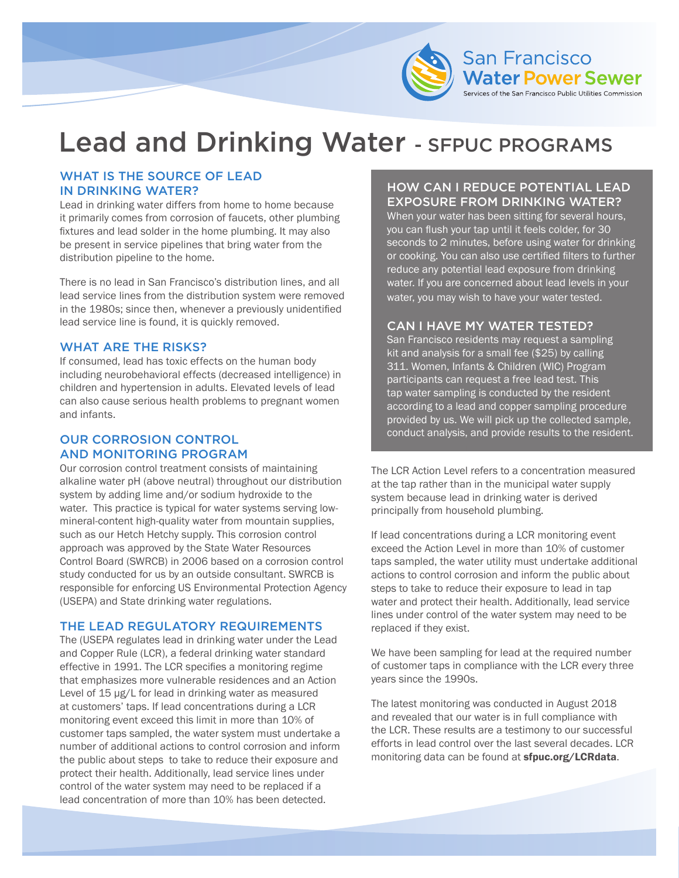

# Lead and Drinking Water - SFPUC PROGRAMS

### WHAT IS THE SOURCE OF LEAD IN DRINKING WATER?

Lead in drinking water differs from home to home because it primarily comes from corrosion of faucets, other plumbing fixtures and lead solder in the home plumbing. It may also be present in service pipelines that bring water from the distribution pipeline to the home.

There is no lead in San Francisco's distribution lines, and all lead service lines from the distribution system were removed in the 1980s; since then, whenever a previously unidentified lead service line is found, it is quickly removed.

#### WHAT ARE THE RISKS?

If consumed, lead has toxic effects on the human body including neurobehavioral effects (decreased intelligence) in children and hypertension in adults. Elevated levels of lead can also cause serious health problems to pregnant women and infants.

## OUR CORROSION CONTROL AND MONITORING PROGRAM

Our corrosion control treatment consists of maintaining alkaline water pH (above neutral) throughout our distribution system by adding lime and/or sodium hydroxide to the water. This practice is typical for water systems serving lowmineral-content high-quality water from mountain supplies, such as our Hetch Hetchy supply. This corrosion control approach was approved by the State Water Resources Control Board (SWRCB) in 2006 based on a corrosion control study conducted for us by an outside consultant. SWRCB is responsible for enforcing US Environmental Protection Agency (USEPA) and State drinking water regulations.

### THE LEAD REGULATORY REQUIREMENTS

The (USEPA regulates lead in drinking water under the Lead and Copper Rule (LCR), a federal drinking water standard effective in 1991. The LCR specifies a monitoring regime that emphasizes more vulnerable residences and an Action Level of 15 µg/L for lead in drinking water as measured at customers' taps. If lead concentrations during a LCR monitoring event exceed this limit in more than 10% of customer taps sampled, the water system must undertake a number of additional actions to control corrosion and inform the public about steps to take to reduce their exposure and protect their health. Additionally, lead service lines under control of the water system may need to be replaced if a lead concentration of more than 10% has been detected.

# HOW CAN I REDUCE POTENTIAL LEAD EXPOSURE FROM DRINKING WATER?

When your water has been sitting for several hours, you can flush your tap until it feels colder, for 30 seconds to 2 minutes, before using water for drinking or cooking. You can also use certified filters to further reduce any potential lead exposure from drinking water. If you are concerned about lead levels in your water, you may wish to have your water tested.

### CAN I HAVE MY WATER TESTED?

San Francisco residents may request a sampling kit and analysis for a small fee (\$25) by calling 311. Women, Infants & Children (WIC) Program participants can request a free lead test. This tap water sampling is conducted by the resident according to a lead and copper sampling procedure provided by us. We will pick up the collected sample, conduct analysis, and provide results to the resident.

The LCR Action Level refers to a concentration measured at the tap rather than in the municipal water supply system because lead in drinking water is derived principally from household plumbing.

If lead concentrations during a LCR monitoring event exceed the Action Level in more than 10% of customer taps sampled, the water utility must undertake additional actions to control corrosion and inform the public about steps to take to reduce their exposure to lead in tap water and protect their health. Additionally, lead service lines under control of the water system may need to be replaced if they exist.

We have been sampling for lead at the required number of customer taps in compliance with the LCR every three years since the 1990s.

The latest monitoring was conducted in August 2018 and revealed that our water is in full compliance with the LCR. These results are a testimony to our successful efforts in lead control over the last several decades. LCR monitoring data can be found at **[sfpuc.org/LCRdata](www.sfpuc.org/LCRdata)**.